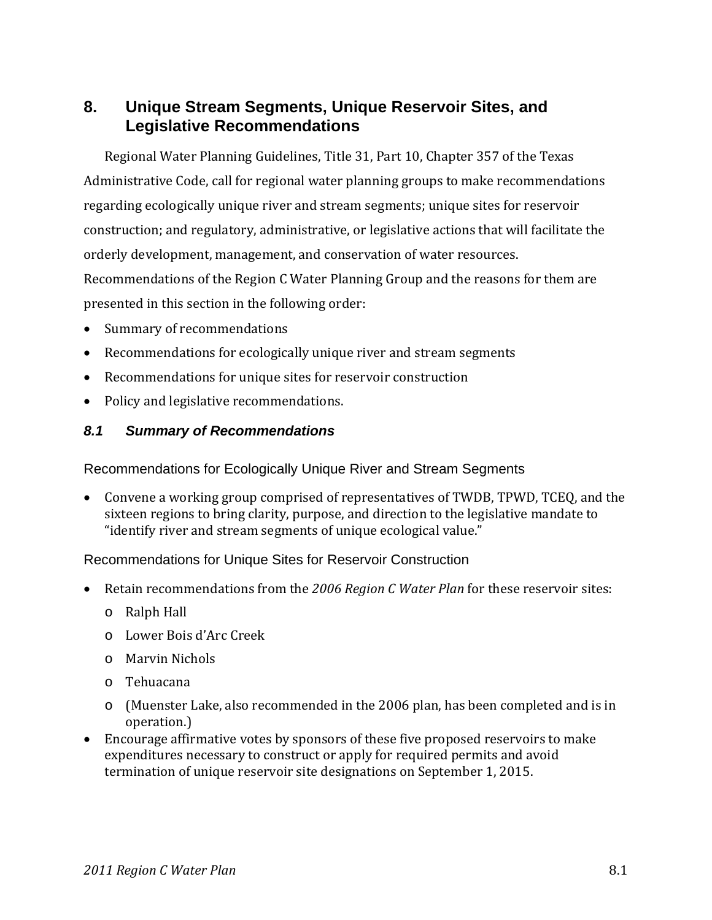## **8. Unique Stream Segments, Unique Reservoir Sites, and Legislative Recommendations**

Regional Water Planning Guidelines, Title 31, Part 10, Chapter 357 of the Texas Administrative Code, call for regional water planning groups to make recommendations regarding ecologically unique river and stream segments; unique sites for reservoir construction; and regulatory, administrative, or legislative actions that will facilitate the orderly development, management, and conservation of water resources. Recommendations of the Region C Water Planning Group and the reasons for them are presented in this section in the following order:

- Summary of recommendations
- Recommendations for ecologically unique river and stream segments
- Recommendations for unique sites for reservoir construction
- Policy and legislative recommendations.

#### *8.1 Summary of Recommendations*

Recommendations for Ecologically Unique River and Stream Segments

 Convene a working group comprised of representatives of TWDB, TPWD, TCEQ, and the sixteen regions to bring clarity, purpose, and direction to the legislative mandate to "identify river and stream segments of unique ecological value."

Recommendations for Unique Sites for Reservoir Construction

- Retain recommendations from the *2006 Region C Water Plan* for these reservoir sites:
	- o Ralph Hall
	- o Lower Bois d'Arc Creek
	- o Marvin Nichols
	- o Tehuacana
	- o (Muenster Lake, also recommended in the 2006 plan, has been completed and is in operation.)
- Encourage affirmative votes by sponsors of these five proposed reservoirs to make expenditures necessary to construct or apply for required permits and avoid termination of unique reservoir site designations on September 1, 2015.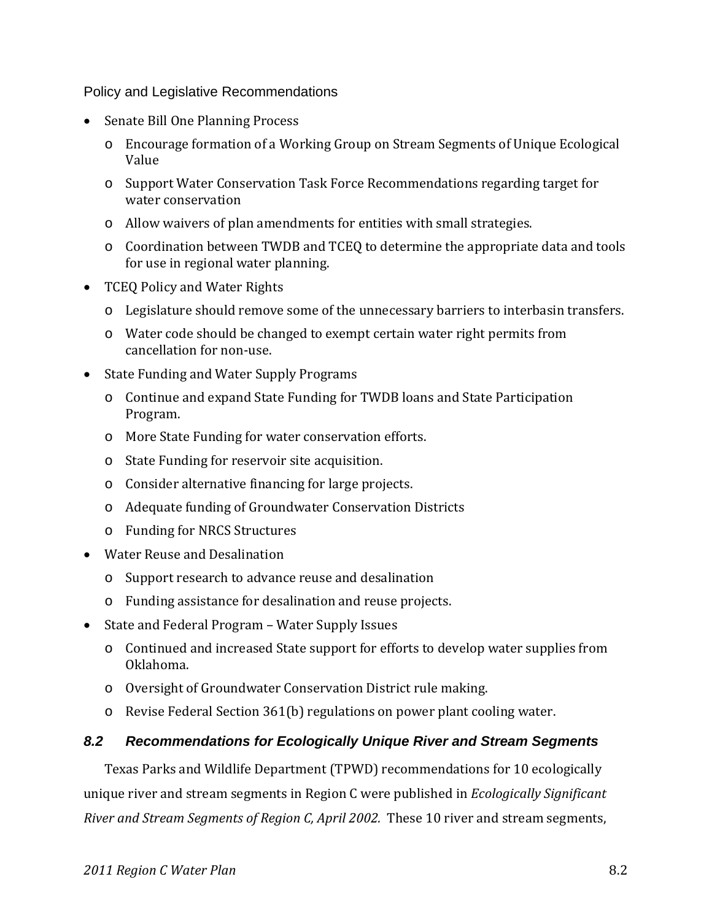Policy and Legislative Recommendations

- Senate Bill One Planning Process
	- o Encourage formation of a Working Group on Stream Segments of Unique Ecological Value
	- o Support Water Conservation Task Force Recommendations regarding target for water conservation
	- o Allow waivers of plan amendments for entities with small strategies.
	- o Coordination between TWDB and TCEQ to determine the appropriate data and tools for use in regional water planning.
- TCEQ Policy and Water Rights
	- o Legislature should remove some of the unnecessary barriers to interbasin transfers.
	- o Water code should be changed to exempt certain water right permits from cancellation for non‐use.
- State Funding and Water Supply Programs
	- o Continue and expand State Funding for TWDB loans and State Participation Program.
	- o More State Funding for water conservation efforts.
	- o State Funding for reservoir site acquisition.
	- o Consider alternative financing for large projects.
	- o Adequate funding of Groundwater Conservation Districts
	- o Funding for NRCS Structures
- Water Reuse and Desalination
	- o Support research to advance reuse and desalination
	- o Funding assistance for desalination and reuse projects.
- State and Federal Program Water Supply Issues
	- o Continued and increased State support for efforts to develop water supplies from Oklahoma.
	- o Oversight of Groundwater Conservation District rule making.
	- o Revise Federal Section 361(b) regulations on power plant cooling water.

#### *8.2 Recommendations for Ecologically Unique River and Stream Segments*

Texas Parks and Wildlife Department (TPWD) recommendations for 10 ecologically unique river and stream segments in Region C were published in *Ecologically Significant River and Stream Segments of Region C, April 2002.* These 10 river and stream segments,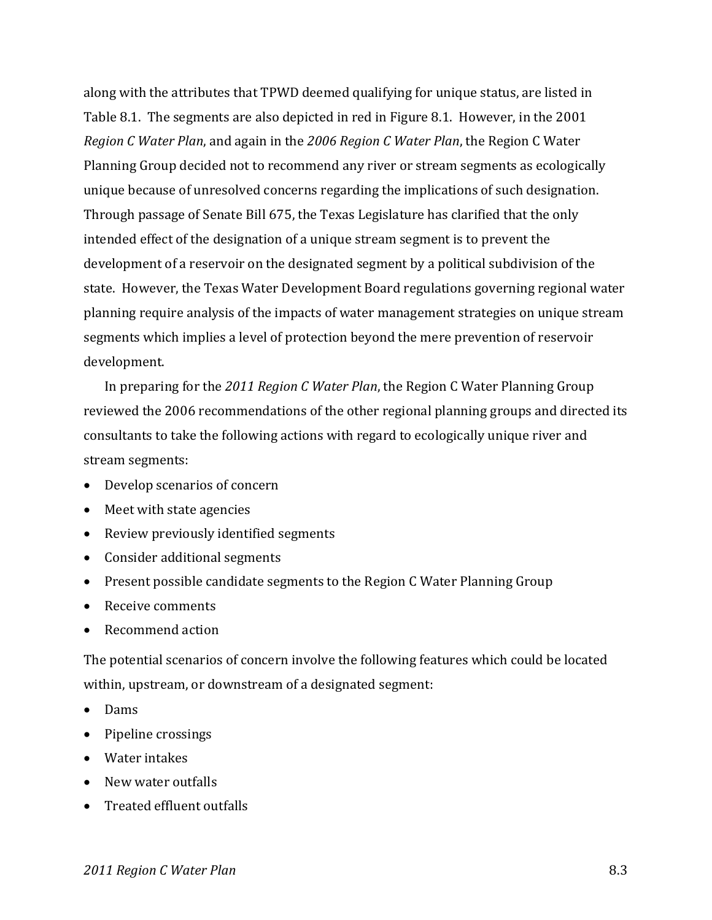along with the attributes that TPWD deemed qualifying for unique status, are listed in Table 8.1. The segments are also depicted in red in Figure 8.1. However, in the 2001 *Region C Water Plan*, and again in the *2006 Region C Water Plan*, the Region C Water Planning Group decided not to recommend any river or stream segments as ecologically unique because of unresolved concerns regarding the implications of such designation. Through passage of Senate Bill 675, the Texas Legislature has clarified that the only intended effect of the designation of a unique stream segment is to prevent the development of a reservoir on the designated segment by a political subdivision of the state. However, the Texas Water Development Board regulations governing regional water planning require analysis of the impacts of water management strategies on unique stream segments which implies a level of protection beyond the mere prevention of reservoir development.

In preparing for the *2011 Region C Water Plan*, the Region C Water Planning Group reviewed the 2006 recommendations of the other regional planning groups and directed its consultants to take the following actions with regard to ecologically unique river and stream segments:

- Develop scenarios of concern
- Meet with state agencies
- Review previously identified segments
- Consider additional segments
- Present possible candidate segments to the Region C Water Planning Group
- Receive comments
- Recommend action

The potential scenarios of concern involve the following features which could be located within, upstream, or downstream of a designated segment:

- Dams
- Pipeline crossings
- Water intakes
- New water outfalls
- Treated effluent outfalls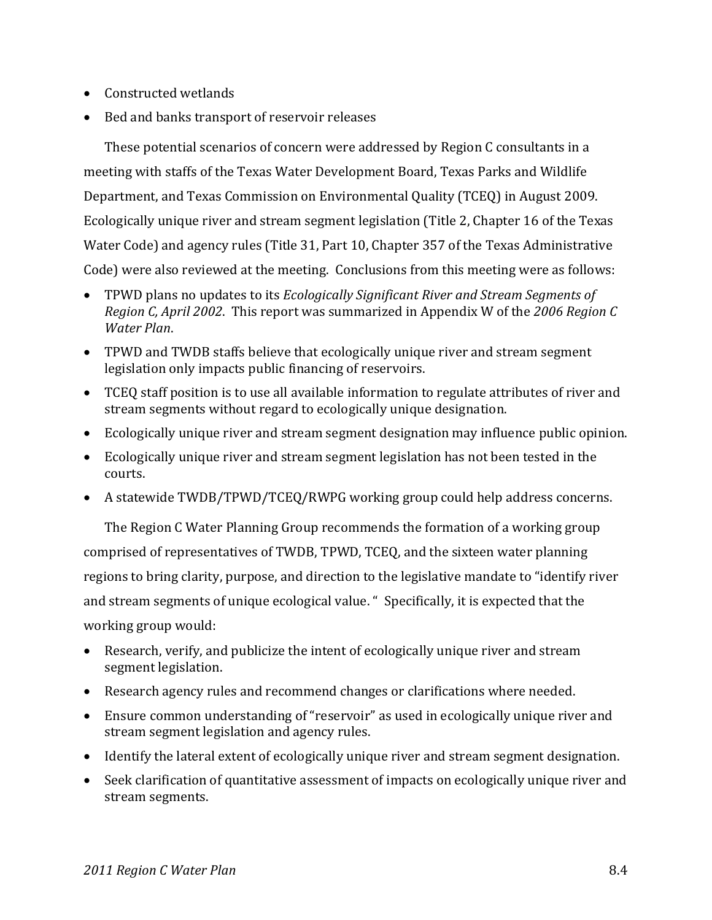- Constructed wetlands
- Bed and banks transport of reservoir releases

These potential scenarios of concern were addressed by Region C consultants in a meeting with staffs of the Texas Water Development Board, Texas Parks and Wildlife Department, and Texas Commission on Environmental Quality (TCEQ) in August 2009. Ecologically unique river and stream segment legislation (Title 2, Chapter 16 of the Texas Water Code) and agency rules (Title 31, Part 10, Chapter 357 of the Texas Administrative Code) were also reviewed at the meeting. Conclusions from this meeting were as follows:

- TPWD plans no updates to its *Ecologically Significant River and Stream Segments of Region C, April 2002*. This report was summarized in Appendix W of the *2006 Region C Water Plan*.
- TPWD and TWDB staffs believe that ecologically unique river and stream segment legislation only impacts public financing of reservoirs.
- TCEQ staff position is to use all available information to regulate attributes of river and stream segments without regard to ecologically unique designation.
- Ecologically unique river and stream segment designation may influence public opinion.
- Ecologically unique river and stream segment legislation has not been tested in the courts.
- A statewide TWDB/TPWD/TCEQ/RWPG working group could help address concerns.

The Region C Water Planning Group recommends the formation of a working group comprised of representatives of TWDB, TPWD, TCEQ, and the sixteen water planning regions to bring clarity, purpose, and direction to the legislative mandate to "identify river and stream segments of unique ecological value. " Specifically, it is expected that the working group would:

- Research, verify, and publicize the intent of ecologically unique river and stream segment legislation.
- Research agency rules and recommend changes or clarifications where needed.
- Ensure common understanding of "reservoir" as used in ecologically unique river and stream segment legislation and agency rules.
- Identify the lateral extent of ecologically unique river and stream segment designation.
- Seek clarification of quantitative assessment of impacts on ecologically unique river and stream segments.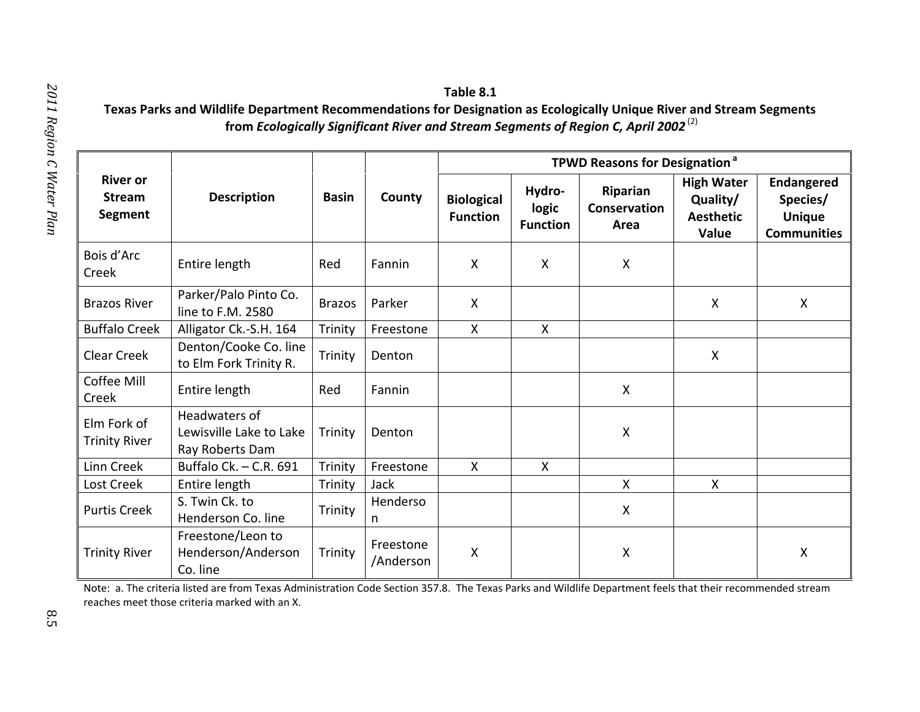# *2011 Region C Water*

| <b>River or</b><br><b>Stream</b><br>Segment | <b>Description</b>                                          | <b>Basin</b>  | County                 | <b>TPWD Reasons for Designation<sup>a</sup></b> |                                    |                                         |                                                            |                                                                      |
|---------------------------------------------|-------------------------------------------------------------|---------------|------------------------|-------------------------------------------------|------------------------------------|-----------------------------------------|------------------------------------------------------------|----------------------------------------------------------------------|
|                                             |                                                             |               |                        | <b>Biological</b><br><b>Function</b>            | Hydro-<br>logic<br><b>Function</b> | <b>Riparian</b><br>Conservation<br>Area | <b>High Water</b><br>Quality/<br><b>Aesthetic</b><br>Value | <b>Endangered</b><br>Species/<br><b>Unique</b><br><b>Communities</b> |
| Bois d'Arc<br>Creek                         | Entire length                                               | Red           | Fannin                 | X                                               | $\boldsymbol{\mathsf{X}}$          | $\boldsymbol{\mathsf{X}}$               |                                                            |                                                                      |
| <b>Brazos River</b>                         | Parker/Palo Pinto Co.<br>line to F.M. 2580                  | <b>Brazos</b> | Parker                 | $\mathsf{X}$                                    |                                    |                                         | X                                                          | X                                                                    |
| <b>Buffalo Creek</b>                        | Alligator Ck.-S.H. 164                                      | Trinity       | Freestone              | X                                               | $\boldsymbol{\mathsf{X}}$          |                                         |                                                            |                                                                      |
| Clear Creek                                 | Denton/Cooke Co. line<br>to Elm Fork Trinity R.             | Trinity       | Denton                 |                                                 |                                    |                                         | X                                                          |                                                                      |
| Coffee Mill<br>Creek                        | Entire length                                               | Red           | Fannin                 |                                                 |                                    | X                                       |                                                            |                                                                      |
| Elm Fork of<br><b>Trinity River</b>         | Headwaters of<br>Lewisville Lake to Lake<br>Ray Roberts Dam | Trinity       | Denton                 |                                                 |                                    | X                                       |                                                            |                                                                      |
| <b>Linn Creek</b>                           | Buffalo Ck. - C.R. 691                                      | Trinity       | Freestone              | $\boldsymbol{\mathsf{X}}$                       | $\boldsymbol{X}$                   |                                         |                                                            |                                                                      |
| Lost Creek                                  | Entire length                                               | Trinity       | Jack                   |                                                 |                                    | $\mathsf{X}$                            | $\mathsf{X}$                                               |                                                                      |
| <b>Purtis Creek</b>                         | S. Twin Ck. to<br>Henderson Co. line                        | Trinity       | Henderso<br>n          |                                                 |                                    | X                                       |                                                            |                                                                      |
| <b>Trinity River</b>                        | Freestone/Leon to<br>Henderson/Anderson<br>Co. line         | Trinity       | Freestone<br>/Anderson | $\boldsymbol{\mathsf{X}}$                       |                                    | $\boldsymbol{\mathsf{X}}$               |                                                            | $\pmb{\mathsf{X}}$                                                   |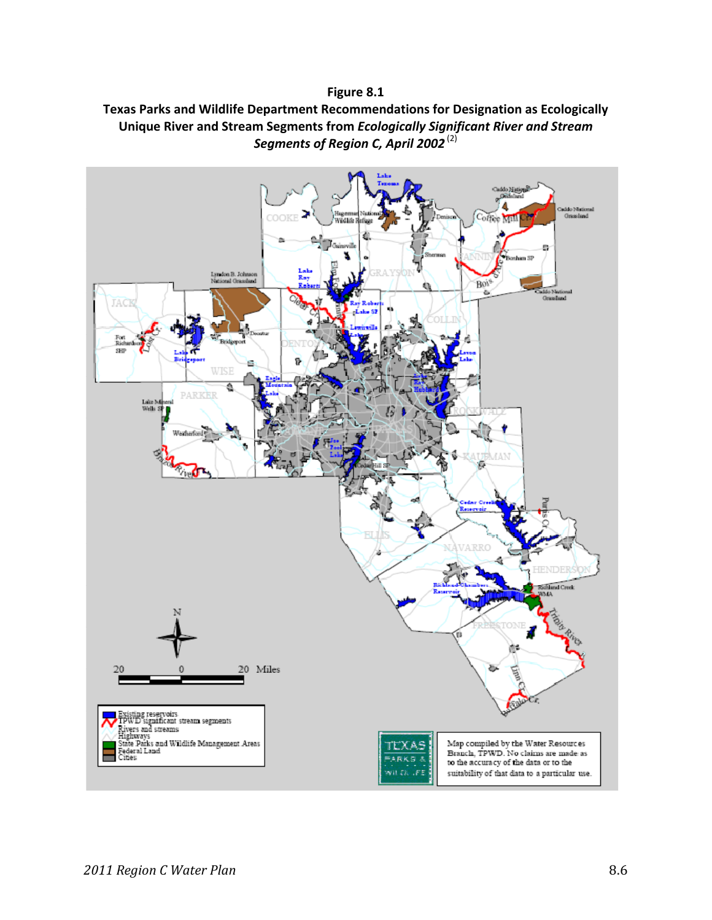#### **Figure 8.1**

## **Texas Parks and Wildlife Department Recommendations for Designation as Ecologically Unique River and Stream Segments from** *Ecologically Significant River and Stream Segments of Region C, April 2002* (2)

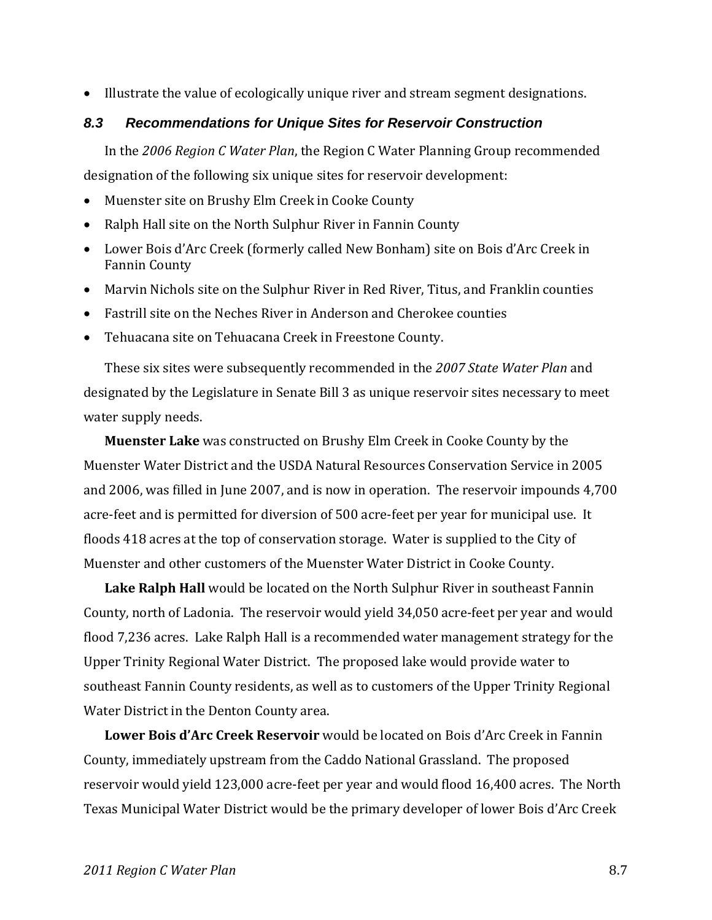Illustrate the value of ecologically unique river and stream segment designations.

#### *8.3 Recommendations for Unique Sites for Reservoir Construction*

In the *2006 Region C Water Plan*, the Region C Water Planning Group recommended designation of the following six unique sites for reservoir development:

- Muenster site on Brushy Elm Creek in Cooke County
- Ralph Hall site on the North Sulphur River in Fannin County
- Lower Bois d'Arc Creek (formerly called New Bonham) site on Bois d'Arc Creek in Fannin County
- Marvin Nichols site on the Sulphur River in Red River, Titus, and Franklin counties
- Fastrill site on the Neches River in Anderson and Cherokee counties
- Tehuacana site on Tehuacana Creek in Freestone County.

These six sites were subsequently recommended in the *2007 State Water Plan* and designated by the Legislature in Senate Bill 3 as unique reservoir sites necessary to meet water supply needs.

**Muenster Lake** was constructed on Brushy Elm Creek in Cooke County by the Muenster Water District and the USDA Natural Resources Conservation Service in 2005 and 2006, was filled in June 2007, and is now in operation. The reservoir impounds 4,700 acre‐feet and is permitted for diversion of 500 acre‐feet per year for municipal use. It floods 418 acres at the top of conservation storage. Water is supplied to the City of Muenster and other customers of the Muenster Water District in Cooke County.

**Lake Ralph Hall** would be located on the North Sulphur River in southeast Fannin County, north of Ladonia. The reservoir would yield 34,050 acre‐feet per year and would flood 7,236 acres. Lake Ralph Hall is a recommended water management strategy for the Upper Trinity Regional Water District. The proposed lake would provide water to southeast Fannin County residents, as well as to customers of the Upper Trinity Regional Water District in the Denton County area.

**Lower Bois d'Arc Creek Reservoir** would be located on Bois d'Arc Creek in Fannin County, immediately upstream from the Caddo National Grassland. The proposed reservoir would yield 123,000 acre‐feet per year and would flood 16,400 acres. The North Texas Municipal Water District would be the primary developer of lower Bois d'Arc Creek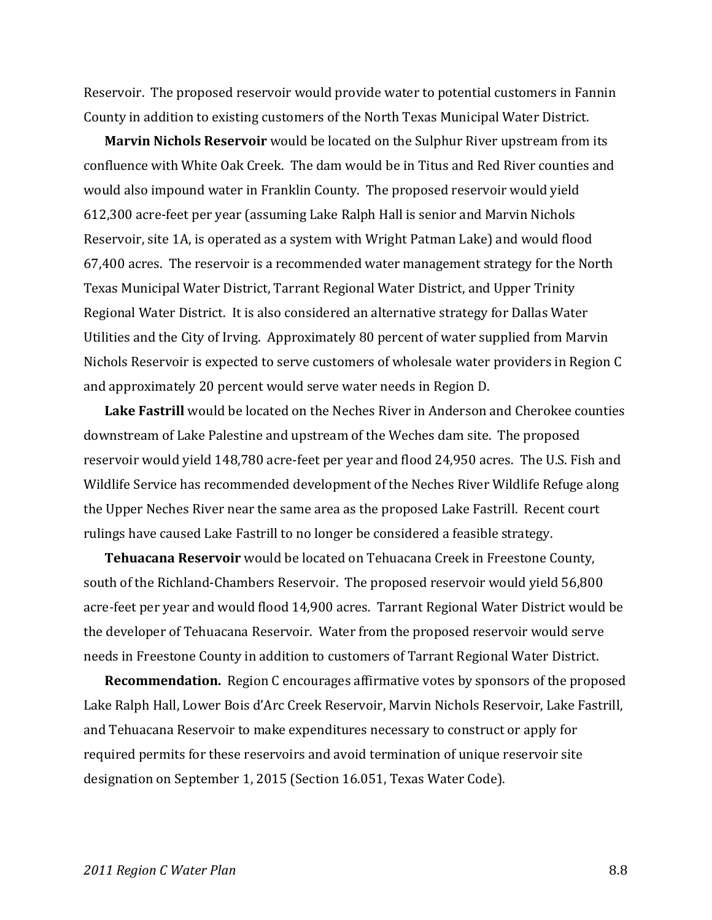Reservoir. The proposed reservoir would provide water to potential customers in Fannin County in addition to existing customers of the North Texas Municipal Water District.

**Marvin Nichols Reservoir** would be located on the Sulphur River upstream from its confluence with White Oak Creek. The dam would be in Titus and Red River counties and would also impound water in Franklin County. The proposed reservoir would yield 612,300 acre‐feet per year (assuming Lake Ralph Hall is senior and Marvin Nichols Reservoir, site 1A, is operated as a system with Wright Patman Lake) and would flood 67,400 acres. The reservoir is a recommended water management strategy for the North Texas Municipal Water District, Tarrant Regional Water District, and Upper Trinity Regional Water District. It is also considered an alternative strategy for Dallas Water Utilities and the City of Irving. Approximately 80 percent of water supplied from Marvin Nichols Reservoir is expected to serve customers of wholesale water providers in Region C and approximately 20 percent would serve water needs in Region D.

**Lake Fastrill** would be located on the Neches River in Anderson and Cherokee counties downstream of Lake Palestine and upstream of the Weches dam site. The proposed reservoir would yield 148,780 acre‐feet per year and flood 24,950 acres. The U.S. Fish and Wildlife Service has recommended development of the Neches River Wildlife Refuge along the Upper Neches River near the same area as the proposed Lake Fastrill. Recent court rulings have caused Lake Fastrill to no longer be considered a feasible strategy.

**Tehuacana Reservoir** would be located on Tehuacana Creek in Freestone County, south of the Richland‐Chambers Reservoir. The proposed reservoir would yield 56,800 acre‐feet per year and would flood 14,900 acres. Tarrant Regional Water District would be the developer of Tehuacana Reservoir. Water from the proposed reservoir would serve needs in Freestone County in addition to customers of Tarrant Regional Water District.

**Recommendation.** Region C encourages affirmative votes by sponsors of the proposed Lake Ralph Hall, Lower Bois d'Arc Creek Reservoir, Marvin Nichols Reservoir, Lake Fastrill, and Tehuacana Reservoir to make expenditures necessary to construct or apply for required permits for these reservoirs and avoid termination of unique reservoir site designation on September 1, 2015 (Section 16.051, Texas Water Code).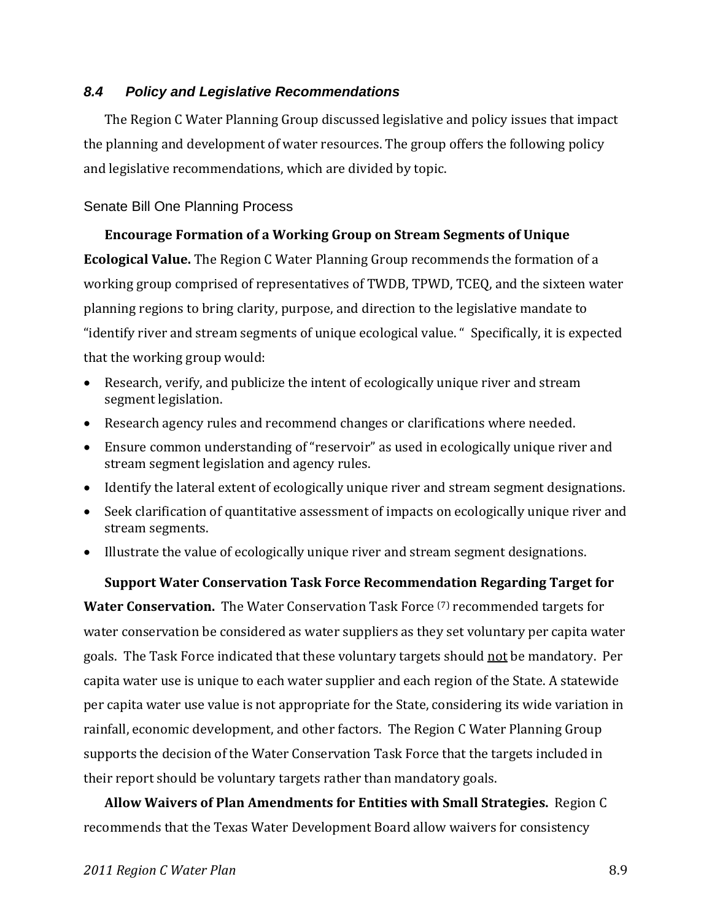#### *8.4 Policy and Legislative Recommendations*

The Region C Water Planning Group discussed legislative and policy issues that impact the planning and development of water resources. The group offers the following policy and legislative recommendations, which are divided by topic.

### Senate Bill One Planning Process

#### **Encourage Formation of a Working Group on Stream Segments of Unique**

**Ecological Value.** The Region C Water Planning Group recommends the formation of a working group comprised of representatives of TWDB, TPWD, TCEQ, and the sixteen water planning regions to bring clarity, purpose, and direction to the legislative mandate to "identify river and stream segments of unique ecological value. " Specifically, it is expected that the working group would:

- Research, verify, and publicize the intent of ecologically unique river and stream segment legislation.
- Research agency rules and recommend changes or clarifications where needed.
- Ensure common understanding of "reservoir" as used in ecologically unique river and stream segment legislation and agency rules.
- Identify the lateral extent of ecologically unique river and stream segment designations.
- Seek clarification of quantitative assessment of impacts on ecologically unique river and stream segments.
- Illustrate the value of ecologically unique river and stream segment designations.

#### **Support Water Conservation Task Force Recommendation Regarding Target for**

**Water Conservation.** The Water Conservation Task Force (7) recommended targets for water conservation be considered as water suppliers as they set voluntary per capita water goals. The Task Force indicated that these voluntary targets should not be mandatory. Per capita water use is unique to each water supplier and each region of the State. A statewide per capita water use value is not appropriate for the State, considering its wide variation in rainfall, economic development, and other factors. The Region C Water Planning Group supports the decision of the Water Conservation Task Force that the targets included in their report should be voluntary targets rather than mandatory goals.

**Allow Waivers of Plan Amendments for Entities with Small Strategies.** Region C recommends that the Texas Water Development Board allow waivers for consistency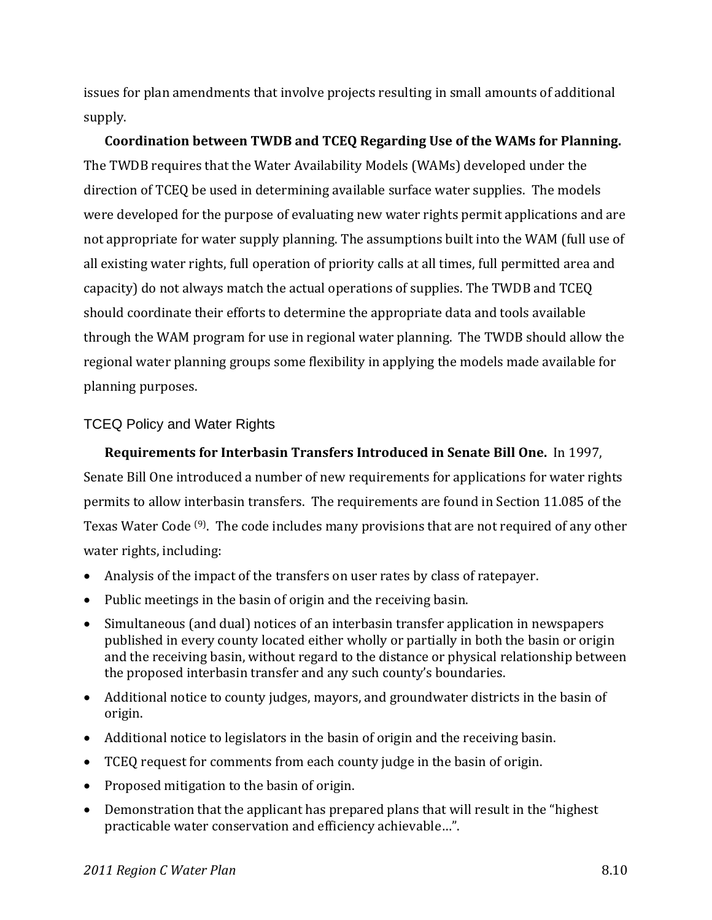issues for plan amendments that involve projects resulting in small amounts of additional supply.

**Coordination between TWDB and TCEQ Regarding Use of the WAMs for Planning.** The TWDB requires that the Water Availability Models (WAMs) developed under the direction of TCEQ be used in determining available surface water supplies. The models were developed for the purpose of evaluating new water rights permit applications and are not appropriate for water supply planning. The assumptions built into the WAM (full use of all existing water rights, full operation of priority calls at all times, full permitted area and capacity) do not always match the actual operations of supplies. The TWDB and TCEQ should coordinate their efforts to determine the appropriate data and tools available through the WAM program for use in regional water planning. The TWDB should allow the regional water planning groups some flexibility in applying the models made available for planning purposes.

## TCEQ Policy and Water Rights

**Requirements for Interbasin Transfers Introduced in Senate Bill One.** In 1997, Senate Bill One introduced a number of new requirements for applications for water rights permits to allow interbasin transfers. The requirements are found in Section 11.085 of the Texas Water Code (9). The code includes many provisions that are not required of any other water rights, including:

- Analysis of the impact of the transfers on user rates by class of ratepayer.
- Public meetings in the basin of origin and the receiving basin.
- Simultaneous (and dual) notices of an interbasin transfer application in newspapers published in every county located either wholly or partially in both the basin or origin and the receiving basin, without regard to the distance or physical relationship between the proposed interbasin transfer and any such county's boundaries.
- Additional notice to county judges, mayors, and groundwater districts in the basin of origin.
- Additional notice to legislators in the basin of origin and the receiving basin.
- TCEQ request for comments from each county judge in the basin of origin.
- Proposed mitigation to the basin of origin.
- Demonstration that the applicant has prepared plans that will result in the "highest practicable water conservation and efficiency achievable…".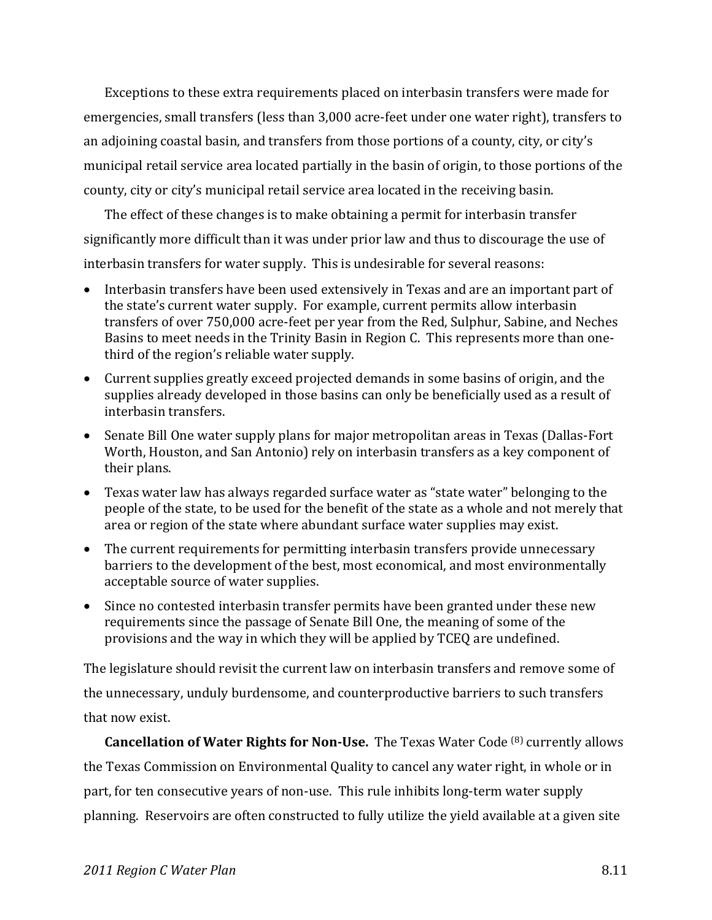Exceptions to these extra requirements placed on interbasin transfers were made for emergencies, small transfers (less than 3,000 acre‐feet under one water right), transfers to an adjoining coastal basin, and transfers from those portions of a county, city, or city's municipal retail service area located partially in the basin of origin, to those portions of the county, city or city's municipal retail service area located in the receiving basin.

The effect of these changes is to make obtaining a permit for interbasin transfer significantly more difficult than it was under prior law and thus to discourage the use of interbasin transfers for water supply. This is undesirable for several reasons:

- Interbasin transfers have been used extensively in Texas and are an important part of the state's current water supply. For example, current permits allow interbasin transfers of over 750,000 acre‐feet per year from the Red, Sulphur, Sabine, and Neches Basins to meet needs in the Trinity Basin in Region C. This represents more than one‐ third of the region's reliable water supply.
- Current supplies greatly exceed projected demands in some basins of origin, and the supplies already developed in those basins can only be beneficially used as a result of interbasin transfers.
- Senate Bill One water supply plans for major metropolitan areas in Texas (Dallas-Fort Worth, Houston, and San Antonio) rely on interbasin transfers as a key component of their plans.
- Texas water law has always regarded surface water as "state water" belonging to the people of the state, to be used for the benefit of the state as a whole and not merely that area or region of the state where abundant surface water supplies may exist.
- The current requirements for permitting interbasin transfers provide unnecessary barriers to the development of the best, most economical, and most environmentally acceptable source of water supplies.
- Since no contested interbasin transfer permits have been granted under these new requirements since the passage of Senate Bill One, the meaning of some of the provisions and the way in which they will be applied by TCEQ are undefined.

The legislature should revisit the current law on interbasin transfers and remove some of the unnecessary, unduly burdensome, and counterproductive barriers to such transfers that now exist.

**Cancellation of Water Rights for NonUse.** The Texas Water Code (8) currently allows the Texas Commission on Environmental Quality to cancel any water right, in whole or in part, for ten consecutive years of non-use. This rule inhibits long-term water supply planning. Reservoirs are often constructed to fully utilize the yield available at a given site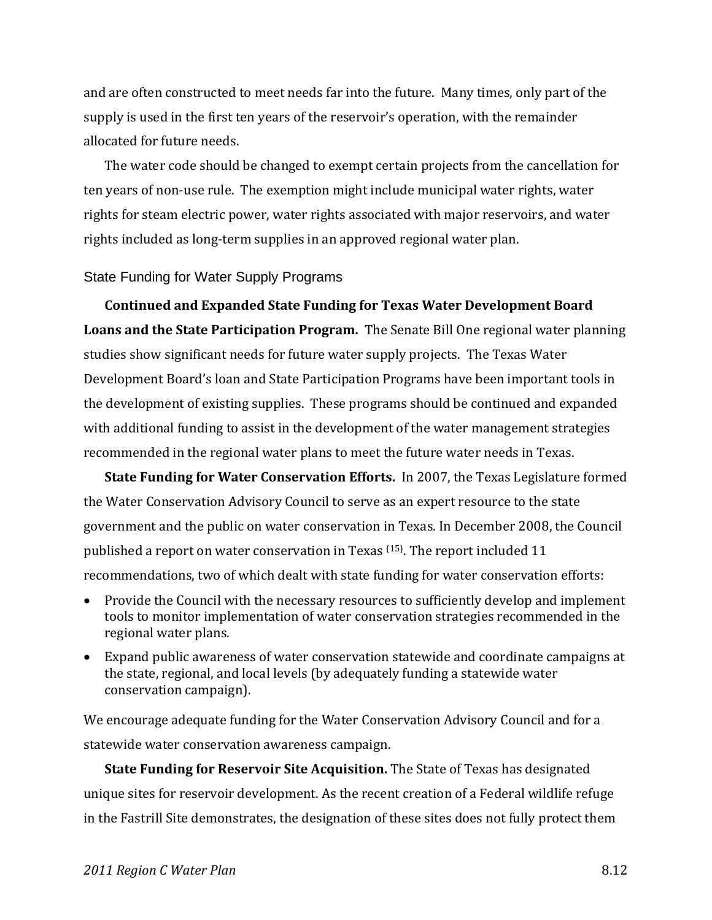and are often constructed to meet needs far into the future. Many times, only part of the supply is used in the first ten years of the reservoir's operation, with the remainder allocated for future needs.

The water code should be changed to exempt certain projects from the cancellation for ten years of non‐use rule. The exemption might include municipal water rights, water rights for steam electric power, water rights associated with major reservoirs, and water rights included as long‐term supplies in an approved regional water plan.

#### State Funding for Water Supply Programs

**Continued and Expanded State Funding for Texas Water Development Board Loans and the State Participation Program.** The Senate Bill One regional water planning studies show significant needs for future water supply projects. The Texas Water Development Board's loan and State Participation Programs have been important tools in the development of existing supplies. These programs should be continued and expanded with additional funding to assist in the development of the water management strategies recommended in the regional water plans to meet the future water needs in Texas.

**State Funding for Water Conservation Efforts.** In 2007, the Texas Legislature formed the Water Conservation Advisory Council to serve as an expert resource to the state government and the public on water conservation in Texas. In December 2008, the Council published a report on water conservation in Texas (15). The report included 11 recommendations, two of which dealt with state funding for water conservation efforts:

- Provide the Council with the necessary resources to sufficiently develop and implement tools to monitor implementation of water conservation strategies recommended in the regional water plans.
- Expand public awareness of water conservation statewide and coordinate campaigns at the state, regional, and local levels (by adequately funding a statewide water conservation campaign).

We encourage adequate funding for the Water Conservation Advisory Council and for a statewide water conservation awareness campaign.

**State Funding for Reservoir Site Acquisition.** The State of Texas has designated unique sites for reservoir development. As the recent creation of a Federal wildlife refuge in the Fastrill Site demonstrates, the designation of these sites does not fully protect them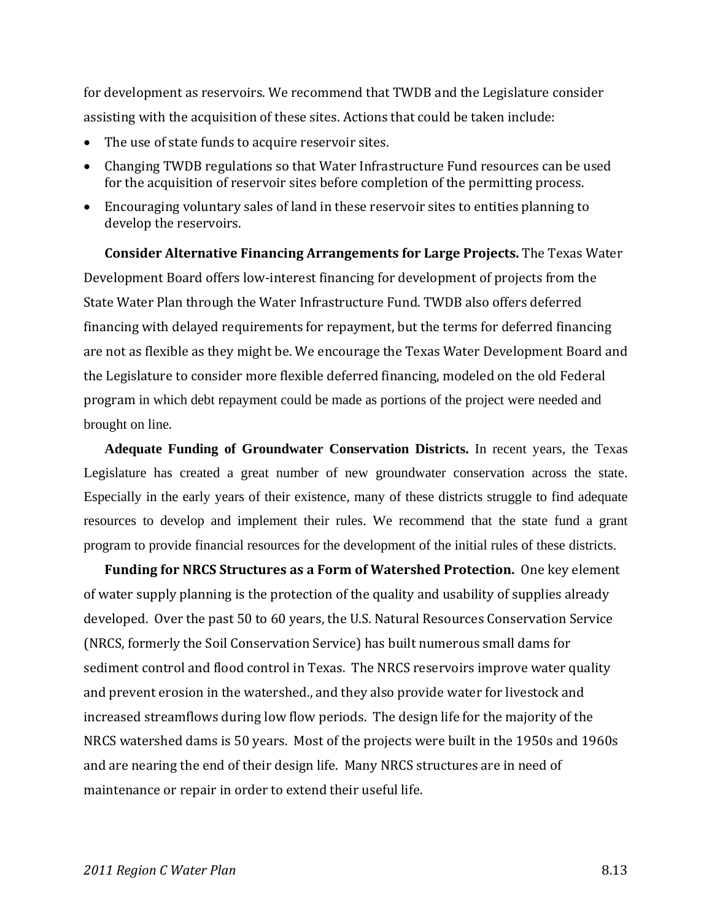for development as reservoirs. We recommend that TWDB and the Legislature consider assisting with the acquisition of these sites. Actions that could be taken include:

- The use of state funds to acquire reservoir sites.
- Changing TWDB regulations so that Water Infrastructure Fund resources can be used for the acquisition of reservoir sites before completion of the permitting process.
- Encouraging voluntary sales of land in these reservoir sites to entities planning to develop the reservoirs.

**Consider Alternative Financing Arrangements for Large Projects.** The Texas Water Development Board offers low‐interest financing for development of projects from the State Water Plan through the Water Infrastructure Fund. TWDB also offers deferred financing with delayed requirements for repayment, but the terms for deferred financing are not as flexible as they might be. We encourage the Texas Water Development Board and the Legislature to consider more flexible deferred financing, modeled on the old Federal program in which debt repayment could be made as portions of the project were needed and brought on line.

**Adequate Funding of Groundwater Conservation Districts.** In recent years, the Texas Legislature has created a great number of new groundwater conservation across the state. Especially in the early years of their existence, many of these districts struggle to find adequate resources to develop and implement their rules. We recommend that the state fund a grant program to provide financial resources for the development of the initial rules of these districts.

**Funding for NRCS Structures as a Form of Watershed Protection.** One key element of water supply planning is the protection of the quality and usability of supplies already developed. Over the past 50 to 60 years, the U.S. Natural Resources Conservation Service (NRCS, formerly the Soil Conservation Service) has built numerous small dams for sediment control and flood control in Texas. The NRCS reservoirs improve water quality and prevent erosion in the watershed., and they also provide water for livestock and increased streamflows during low flow periods. The design life for the majority of the NRCS watershed dams is 50 years. Most of the projects were built in the 1950s and 1960s and are nearing the end of their design life. Many NRCS structures are in need of maintenance or repair in order to extend their useful life.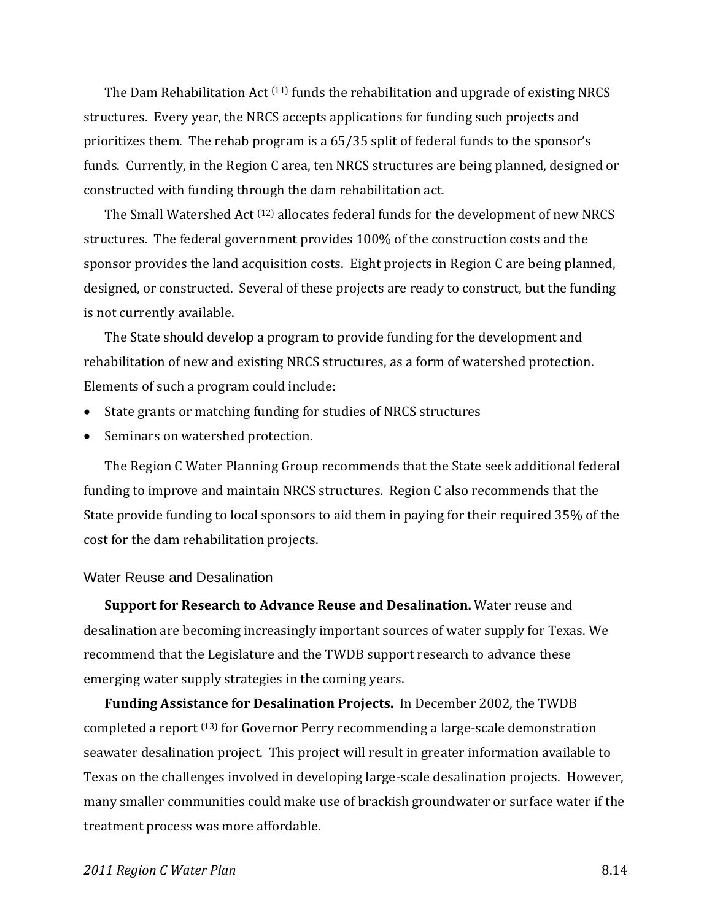The Dam Rehabilitation Act  $(11)$  funds the rehabilitation and upgrade of existing NRCS structures. Every year, the NRCS accepts applications for funding such projects and prioritizes them. The rehab program is a 65/35 split of federal funds to the sponsor's funds. Currently, in the Region C area, ten NRCS structures are being planned, designed or constructed with funding through the dam rehabilitation act.

The Small Watershed Act  $(12)$  allocates federal funds for the development of new NRCS structures. The federal government provides 100% of the construction costs and the sponsor provides the land acquisition costs. Eight projects in Region C are being planned, designed, or constructed. Several of these projects are ready to construct, but the funding is not currently available.

The State should develop a program to provide funding for the development and rehabilitation of new and existing NRCS structures, as a form of watershed protection. Elements of such a program could include:

- State grants or matching funding for studies of NRCS structures
- Seminars on watershed protection.

The Region C Water Planning Group recommends that the State seek additional federal funding to improve and maintain NRCS structures. Region C also recommends that the State provide funding to local sponsors to aid them in paying for their required 35% of the cost for the dam rehabilitation projects.

#### Water Reuse and Desalination

**Support for Research to Advance Reuse and Desalination.** Water reuse and desalination are becoming increasingly important sources of water supply for Texas. We recommend that the Legislature and the TWDB support research to advance these emerging water supply strategies in the coming years.

**Funding Assistance for Desalination Projects.** In December 2002, the TWDB completed a report <sup>(13)</sup> for Governor Perry recommending a large-scale demonstration seawater desalination project. This project will result in greater information available to Texas on the challenges involved in developing large‐scale desalination projects. However, many smaller communities could make use of brackish groundwater or surface water if the treatment process was more affordable.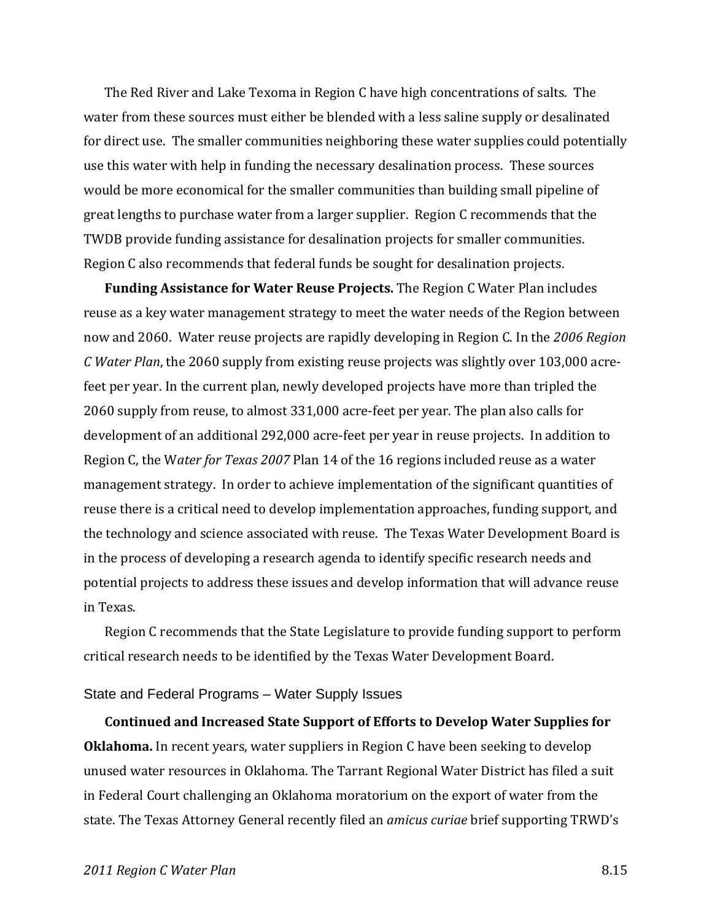The Red River and Lake Texoma in Region C have high concentrations of salts. The water from these sources must either be blended with a less saline supply or desalinated for direct use. The smaller communities neighboring these water supplies could potentially use this water with help in funding the necessary desalination process. These sources would be more economical for the smaller communities than building small pipeline of great lengths to purchase water from a larger supplier. Region C recommends that the TWDB provide funding assistance for desalination projects for smaller communities. Region C also recommends that federal funds be sought for desalination projects.

**Funding Assistance for Water Reuse Projects.** The Region C Water Plan includes reuse as a key water management strategy to meet the water needs of the Region between now and 2060. Water reuse projects are rapidly developing in Region C. In the *2006 Region C Water Plan*, the 2060 supply from existing reuse projects was slightly over 103,000 acre‐ feet per year. In the current plan, newly developed projects have more than tripled the 2060 supply from reuse, to almost 331,000 acre‐feet per year. The plan also calls for development of an additional 292,000 acre‐feet per year in reuse projects. In addition to Region C, the W*ater for Texas 2007* Plan 14 of the 16 regions included reuse as a water management strategy. In order to achieve implementation of the significant quantities of reuse there is a critical need to develop implementation approaches, funding support, and the technology and science associated with reuse. The Texas Water Development Board is in the process of developing a research agenda to identify specific research needs and potential projects to address these issues and develop information that will advance reuse in Texas.

Region C recommends that the State Legislature to provide funding support to perform critical research needs to be identified by the Texas Water Development Board.

#### State and Federal Programs – Water Supply Issues

**Continued and Increased State Support of Efforts to Develop Water Supplies for Oklahoma.** In recent years, water suppliers in Region C have been seeking to develop unused water resources in Oklahoma. The Tarrant Regional Water District has filed a suit in Federal Court challenging an Oklahoma moratorium on the export of water from the state. The Texas Attorney General recently filed an *amicus curiae* brief supporting TRWD's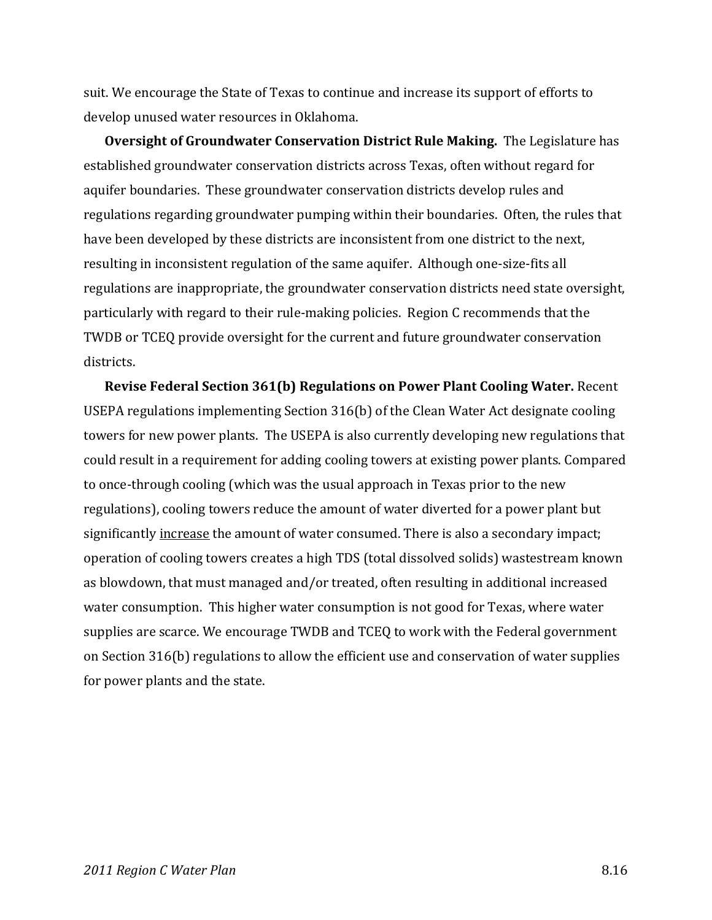suit. We encourage the State of Texas to continue and increase its support of efforts to develop unused water resources in Oklahoma.

**Oversight of Groundwater Conservation District Rule Making.** The Legislature has established groundwater conservation districts across Texas, often without regard for aquifer boundaries. These groundwater conservation districts develop rules and regulations regarding groundwater pumping within their boundaries. Often, the rules that have been developed by these districts are inconsistent from one district to the next, resulting in inconsistent regulation of the same aquifer. Although one‐size‐fits all regulations are inappropriate, the groundwater conservation districts need state oversight, particularly with regard to their rule‐making policies. Region C recommends that the TWDB or TCEQ provide oversight for the current and future groundwater conservation districts.

**Revise Federal Section 361(b) Regulations on Power Plant Cooling Water.** Recent USEPA regulations implementing Section 316(b) of the Clean Water Act designate cooling towers for new power plants. The USEPA is also currently developing new regulations that could result in a requirement for adding cooling towers at existing power plants. Compared to once‐through cooling (which was the usual approach in Texas prior to the new regulations), cooling towers reduce the amount of water diverted for a power plant but significantly increase the amount of water consumed. There is also a secondary impact; operation of cooling towers creates a high TDS (total dissolved solids) wastestream known as blowdown, that must managed and/or treated, often resulting in additional increased water consumption. This higher water consumption is not good for Texas, where water supplies are scarce. We encourage TWDB and TCEQ to work with the Federal government on Section 316(b) regulations to allow the efficient use and conservation of water supplies for power plants and the state.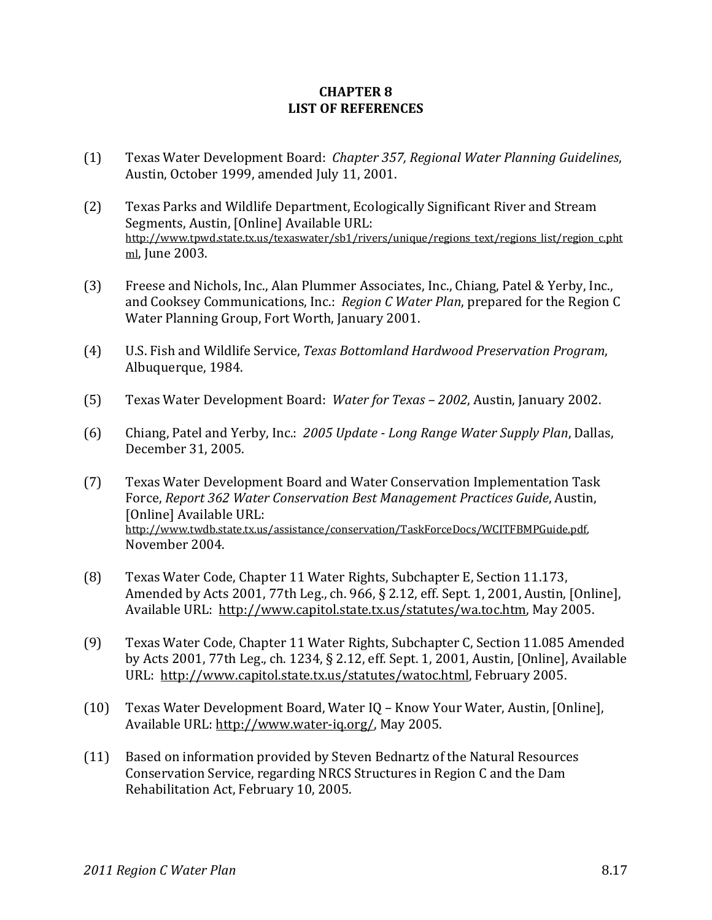#### **CHAPTER 8 LIST OF REFERENCES**

- (1) Texas Water Development Board: *Chapter 357, Regional Water Planning Guidelines*, Austin, October 1999, amended July 11, 2001.
- (2) Texas Parks and Wildlife Department, Ecologically Significant River and Stream Segments, Austin, [Online] Available URL: http://www.tpwd.state.tx.us/texaswater/sb1/rivers/unique/regions\_text/regions\_list/region\_c.pht ml, June 2003.
- (3) Freese and Nichols, Inc., Alan Plummer Associates, Inc., Chiang, Patel & Yerby, Inc., and Cooksey Communications, Inc.: *Region C Water Plan*, prepared for the Region C Water Planning Group, Fort Worth, January 2001.
- (4) U.S. Fish and Wildlife Service, *Texas Bottomland Hardwood Preservation Program*, Albuquerque, 1984.
- (5) Texas Water Development Board: *Water for Texas – 2002*, Austin, January 2002.
- (6) Chiang, Patel and Yerby, Inc.: *2005 Update Long Range Water Supply Plan*, Dallas, December 31, 2005.
- (7) Texas Water Development Board and Water Conservation Implementation Task Force, *Report 362 Water Conservation Best Management Practices Guide*, Austin, [Online] Available URL: http://www.twdb.state.tx.us/assistance/conservation/TaskForceDocs/WCITFBMPGuide.pdf, November 2004.
- (8) Texas Water Code, Chapter 11 Water Rights, Subchapter E, Section 11.173, Amended by Acts 2001, 77th Leg., ch. 966, § 2.12, eff. Sept. 1, 2001, Austin, [Online], Available URL: http://www.capitol.state.tx.us/statutes/wa.toc.htm, May 2005.
- (9) Texas Water Code, Chapter 11 Water Rights, Subchapter C, Section 11.085 Amended by Acts 2001, 77th Leg., ch. 1234, § 2.12, eff. Sept. 1, 2001, Austin, [Online], Available URL: http://www.capitol.state.tx.us/statutes/watoc.html, February 2005.
- (10) Texas Water Development Board, Water IQ Know Your Water, Austin, [Online], Available URL: http://www.water‐iq.org/, May 2005.
- (11) Based on information provided by Steven Bednartz of the Natural Resources Conservation Service, regarding NRCS Structures in Region C and the Dam Rehabilitation Act, February 10, 2005.